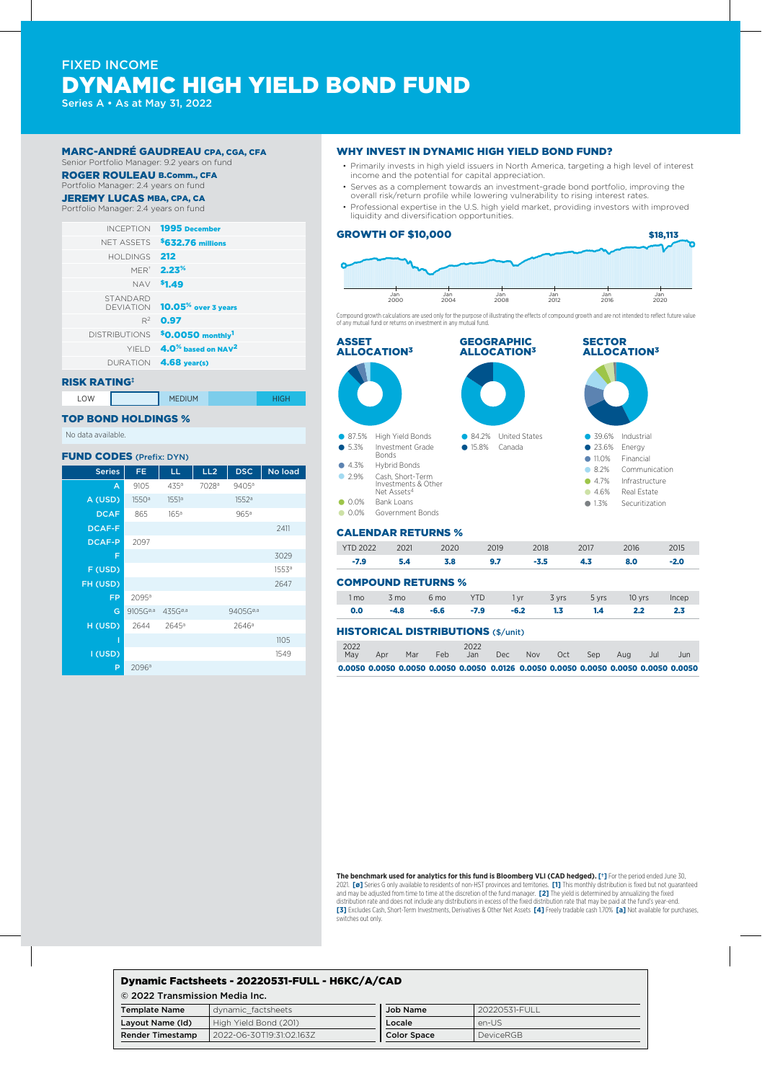# FIXED INCOME DYNAMIC HIGH YIELD BOND FUND

Series A • As at May 31, 2022

# MARC-ANDRÉ GAUDREAU CPA, CGA, CFA

Senior Portfolio Manager: 9.2 years on fund

#### ROGER ROULEAU B.Comm., CFA Portfolio Manager: 2.4 years on fund

**JEREMY LUCAS MBA, CPA, CA** 

Portfolio Manager: 2.4 years on fund

| INCEPTION 1995 December                            |                      |
|----------------------------------------------------|----------------------|
| NET ASSETS <b>\$632.76 millions</b>                |                      |
|                                                    | HOLDINGS 212         |
| <b>MER<sup>*</sup> 2.23<sup>%</sup></b>            |                      |
| NAV <sup>\$</sup> 1.49                             |                      |
| DEVIATION <b>10.05<sup>%</sup> over 3 years</b>    | <b>STANDARD</b>      |
| $R^2$ 0.97                                         |                      |
| \$0.0050 monthly <sup>1</sup>                      | <b>DISTRIBUTIONS</b> |
| $YIFLD$ 4.0 <sup>%</sup> based on NAV <sup>2</sup> |                      |
| DURATION 4.68 year(s)                              |                      |
|                                                    |                      |

#### RISK RATING‡

LOW **MEDIUM MEDIUM** 

#### TOP BOND HOLDINGS %

No data available.

#### FUND CODES (Prefix: DYN)

| <b>Series</b> | FE                   | LL                  | LL <sub>2</sub>   | <b>DSC</b>           | No load           |
|---------------|----------------------|---------------------|-------------------|----------------------|-------------------|
| A             | 9105                 | 435ª                | 7028 <sup>a</sup> | 9405 <sup>a</sup>    |                   |
| A (USD)       | 1550 <sup>a</sup>    | 1551 <sup>a</sup>   |                   | 1552a                |                   |
| <b>DCAF</b>   | 865                  | 165 <sup>a</sup>    |                   | 965a                 |                   |
| <b>DCAF-F</b> |                      |                     |                   |                      | 2411              |
| <b>DCAF-P</b> | 2097                 |                     |                   |                      |                   |
| F             |                      |                     |                   |                      | 3029              |
| F (USD)       |                      |                     |                   |                      | 1553 <sup>a</sup> |
| FH (USD)      |                      |                     |                   |                      | 2647              |
| <b>FP</b>     | 2095 <sup>a</sup>    |                     |                   |                      |                   |
| G             | 9105G <sup>ø,a</sup> | 435G <sup>ø,a</sup> |                   | 9405G <sup>ø,a</sup> |                   |
| H (USD)       | 2644                 | 2645 <sup>a</sup>   |                   | 2646 <sup>a</sup>    |                   |
| I             |                      |                     |                   |                      | 1105              |
| I (USD)       |                      |                     |                   |                      | 1549              |
| P             | 2096 <sup>a</sup>    |                     |                   |                      |                   |

#### WHY INVEST IN DYNAMIC HIGH YIELD BOND FUND?

- Primarily invests in high yield issuers in North America, targeting a high level of interest income and the potential for capital appreciation.
- Serves as a complement towards an investment-grade bond portfolio, improving the overall risk/return profile while lowering vulnerability to rising interest rates.
- Professional expertise in the U.S. high yield market, providing investors with improved liquidity and diversification opportunities.

# GROWTH OF \$10,000



\$18,113

Compound growth calculations are used only for the purpose of illustrating the effects of compound growth and are not intended to reflect future value of any mutual fund or returns on investment in any mutual fund.



|  | 5.4  | 3.8     | 9.7  | -3.5 | 4.3  | 8.0  |      |
|--|------|---------|------|------|------|------|------|
|  | 2021 | $-2020$ | 2019 | 2018 | 2017 | 2016 | 2015 |

#### COMPOUND RETURNS %

|  |  |  | 1 mo 3 mo 6 mo YTD 1 yr 3 yrs 5 yrs 10 yrs Incep |  |
|--|--|--|--------------------------------------------------|--|
|  |  |  | 0.0 $-4.8$ $-6.6$ $-7.9$ $-6.2$ 1.3 1.4 2.2 2.3  |  |

#### HISTORICAL DISTRIBUTIONS (\$/unit)

| 2022<br>May                                                                         | Apr | Mar | Feb. | 2022<br>Jan. | Dec. | <b>Nov</b> | Oct. | <b>Sep</b> | Aug | Jul | Jun |
|-------------------------------------------------------------------------------------|-----|-----|------|--------------|------|------------|------|------------|-----|-----|-----|
| 0.0050 0.0050 0.0050 0.0050 0.0050 0.0126 0.0050 0.0050 0.0050 0.0050 0.0050 0.0050 |     |     |      |              |      |            |      |            |     |     |     |

**The benchmark used for analytics for this fund is Bloomberg VLI (CAD hedged). [†]** For the period ended June 30, 2021. **[ø]** Series G only available to residents of non-HST provinces and territories. **[1]** This monthly distribution is fixed but not guaranteed and may be adjusted from time to time at the discretion of the fund manager. **[2]** The yield is determined by annualizing the fixed distribution rate and does not include any distributions in excess of the fixed distribution rate that may be paid at the fund's year-end. **[3]** Excludes Cash, Short-Term Investments, Derivatives & Other Net Assets **[4]** Freely tradable cash 1.70% **[a]** Not available for purchases, switches out only.